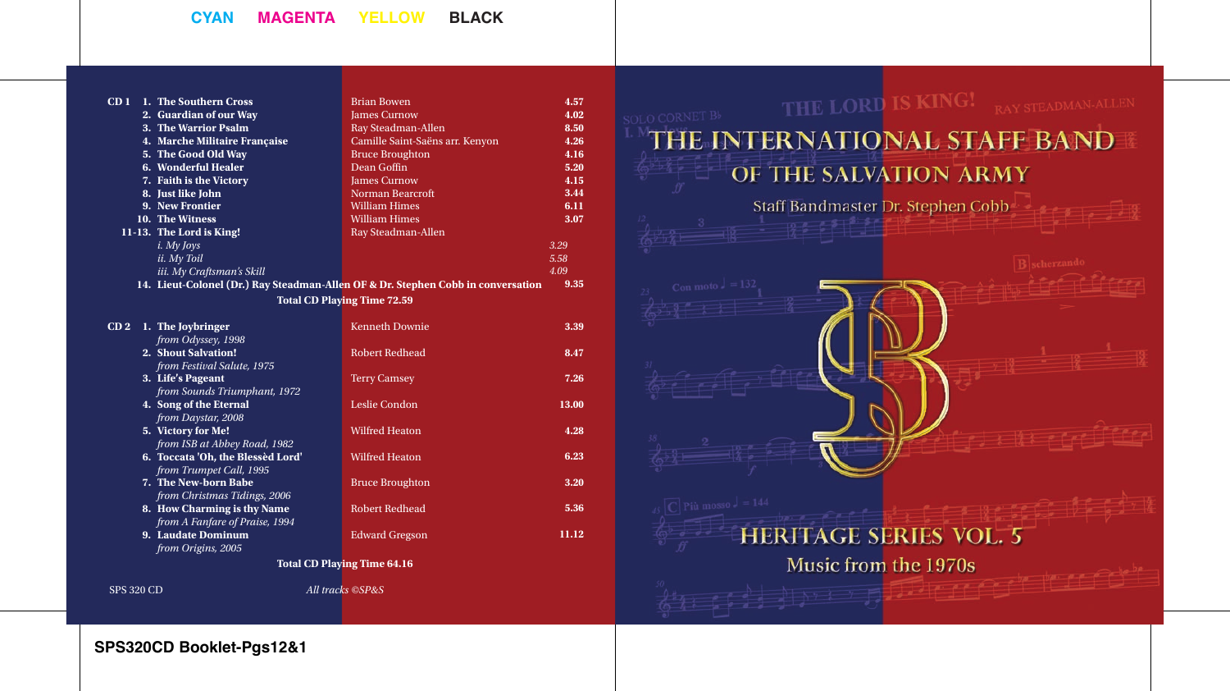#### **CYAN MAGENTA YELLOW BLACK**

| CDI                                | 1. The Southern Cross             | <b>Brian Bowen</b>                                                               | 4.57  |
|------------------------------------|-----------------------------------|----------------------------------------------------------------------------------|-------|
|                                    | 2. Guardian of our Way            | <b>James Curnow</b>                                                              | 4.02  |
|                                    | 3. The Warrior Psalm              | Ray Steadman-Allen                                                               | 8.50  |
|                                    | 4. Marche Militaire Française     | Camille Saint-Saëns arr. Kenyon                                                  | 4.26  |
|                                    | 5. The Good Old Way               | <b>Bruce Broughton</b>                                                           | 4.16  |
|                                    | 6. Wonderful Healer               | Dean Goffin                                                                      | 5.20  |
|                                    | 7. Faith is the Victory           | James Curnow                                                                     | 4.15  |
|                                    | 8. Just like John                 | Norman Bearcroft                                                                 | 3.44  |
|                                    | 9. New Frontier                   | <b>William Himes</b>                                                             | 6.11  |
|                                    | 10. The Witness                   | <b>William Himes</b>                                                             | 3.07  |
|                                    | 11-13. The Lord is King!          | Ray Steadman-Allen                                                               |       |
|                                    | i. My Joys                        |                                                                                  | 3.29  |
|                                    | ii. My Toil                       |                                                                                  | 5.58  |
|                                    | iii. My Craftsman's Skill         |                                                                                  | 4.09  |
|                                    |                                   | 14. Lieut-Colonel (Dr.) Ray Steadman-Allen OF & Dr. Stephen Cobb in conversation | 9.35  |
|                                    |                                   | <b>Total CD Playing Time 72.59</b>                                               |       |
|                                    |                                   |                                                                                  |       |
| CD <sub>2</sub>                    | 1. The Joybringer                 | <b>Kenneth Downie</b>                                                            | 3.39  |
|                                    | from Odyssey, 1998                |                                                                                  |       |
|                                    | 2. Shout Salvation!               | <b>Robert Redhead</b>                                                            | 8.47  |
|                                    | from Festival Salute, 1975        |                                                                                  |       |
|                                    | 3. Life's Pageant                 | <b>Terry Camsey</b>                                                              | 7.26  |
|                                    | from Sounds Triumphant, 1972      |                                                                                  |       |
|                                    | 4. Song of the Eternal            | Leslie Condon                                                                    | 13.00 |
|                                    | from Daystar, 2008                |                                                                                  |       |
|                                    | 5. Victory for Me!                | <b>Wilfred Heaton</b>                                                            | 4.28  |
|                                    | from ISB at Abbey Road, 1982      |                                                                                  |       |
|                                    | 6. Toccata 'Oh, the Blessèd Lord' | <b>Wilfred Heaton</b>                                                            | 6.23  |
|                                    | from Trumpet Call, 1995           |                                                                                  |       |
|                                    | 7. The New-born Babe              | <b>Bruce Broughton</b>                                                           | 3.20  |
|                                    | from Christmas Tidings, 2006      |                                                                                  |       |
|                                    | 8. How Charming is thy Name       | <b>Robert Redhead</b>                                                            | 5.36  |
|                                    | from A Fanfare of Praise, 1994    |                                                                                  |       |
|                                    | 9. Laudate Dominum                | <b>Edward Gregson</b>                                                            | 11.12 |
|                                    | from Origins, 2005                |                                                                                  |       |
|                                    |                                   |                                                                                  |       |
| <b>Total CD Playing Time 64.16</b> |                                   |                                                                                  |       |

SPS 320 CD *All tracks ©SP&S*

# THE LORD IS KING! RAY STEADMAN-ALLEN THE INTERNATIONAL STAFF BAND OF THE SALVATION ARMY Staff Bandmaster Dr. Stephen Cobb **HERITAGE SERIES VOL. 5** Music from the 1970s

### **SPS320CD Booklet-Pgs12&1**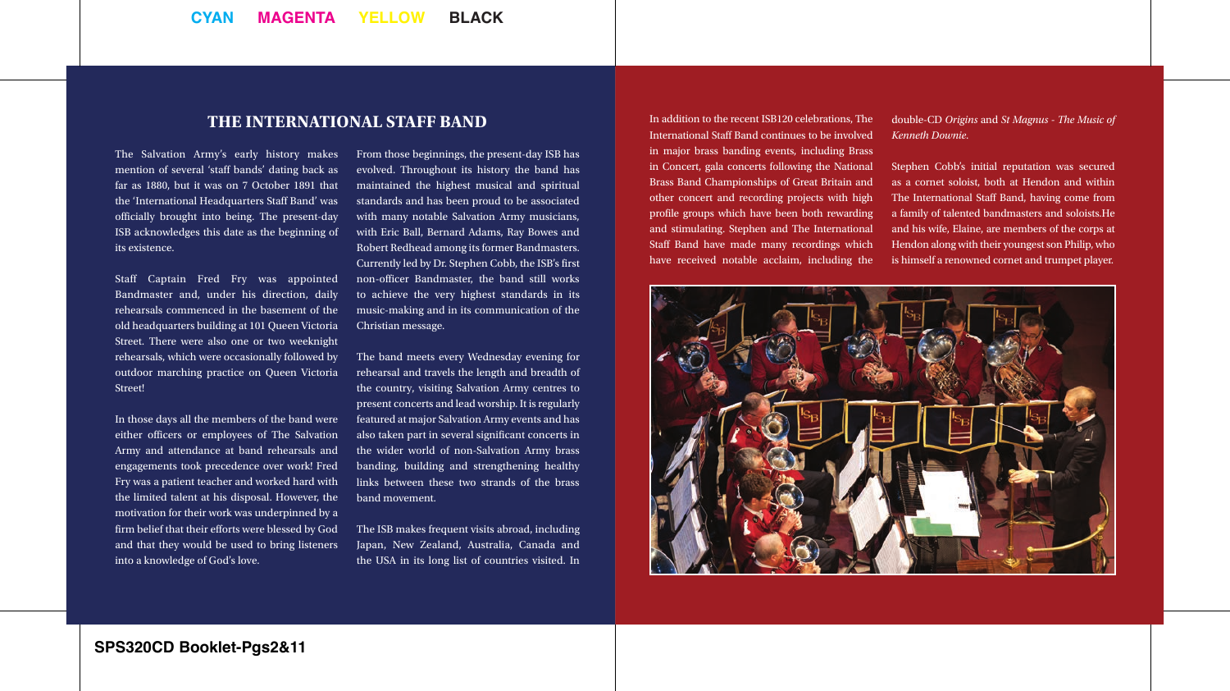#### **THE INTERNATIONAL STAFF BAND**

The Salvation Army's early history makes mention of several 'staff bands' dating back as far as 1880, but it was on 7 October 1891 that the 'International Headquarters Staff Band' was officially brought into being. The present-day ISB acknowledges this date as the beginning of its existence.

Staff Captain Fred Fry was appointed Bandmaster and, under his direction, daily rehearsals commenced in the basement of the old headquarters building at 101 Queen Victoria Street. There were also one or two weeknight rehearsals, which were occasionally followed by outdoor marching practice on Queen Victoria Street!

In those days all the members of the band were either officers or employees of The Salvation Army and attendance at band rehearsals and engagements took precedence over work! Fred Fry was a patient teacher and worked hard with the limited talent at his disposal. However, the motivation for their work was underpinned by a firm belief that their efforts were blessed by God and that they would be used to bring listeners into a knowledge of God's love.

From those beginnings, the present-day ISB has evolved. Throughout its history the band has maintained the highest musical and spiritual standards and has been proud to be associated with many notable Salvation Army musicians, with Eric Ball, Bernard Adams, Ray Bowes and Robert Redhead among its former Bandmasters. Currently led by Dr. Stephen Cobb, the ISB's first non-officer Bandmaster, the band still works to achieve the very highest standards in its music-making and in its communication of the Christian message.

The band meets every Wednesday evening for rehearsal and travels the length and breadth of the country, visiting Salvation Army centres to present concerts and lead worship. It is regularly featured at major Salvation Army events and has also taken part in several significant concerts in the wider world of non-Salvation Army brass banding, building and strengthening healthy links between these two strands of the brass band movement.

The ISB makes frequent visits abroad, including Japan, New Zealand, Australia, Canada and the USA in its long list of countries visited. In

In addition to the recent ISB120 celebrations, The International Staff Band continues to be involved in major brass banding events, including Brass in Concert, gala concerts following the National Brass Band Championships of Great Britain and other concert and recording projects with high profile groups which have been both rewarding and stimulating. Stephen and The International Staff Band have made many recordings which have received notable acclaim, including the double-CD *Origins* and *St Magnus - The Music of Kenneth Downie*.

Stephen Cobb's initial reputation was secured as a cornet soloist, both at Hendon and within The International Staff Band, having come from a family of talented bandmasters and soloists.He and his wife, Elaine, are members of the corps at Hendon along with their youngest son Philip, who is himself a renowned cornet and trumpet player.

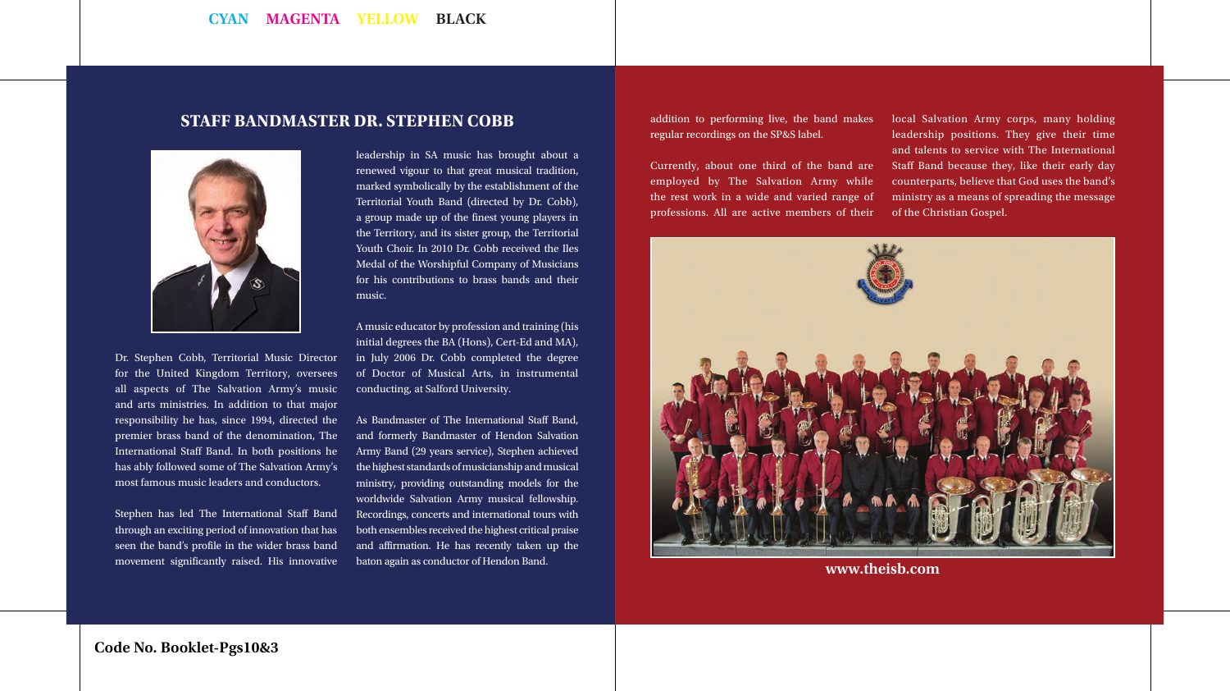#### **STAFF BANDMASTER DR. STEPHEN COBB**



Dr. Stephen Cobb, Territorial Music Director for the United Kingdom Territory, oversees all aspects of The Salvation Army's music and arts ministries. In addition to that major responsibility he has, since 1994, directed the premier brass band of the denomination, The International Staff Band. In both positions he has ably followed some of The Salvation Army's most famous music leaders and conductors.

Stephen has led The International Staff Band through an exciting period of innovation that has seen the band's profile in the wider brass band movement significantly raised. His innovative leadership in SA music has brought about a renewed vigour to that great musical tradition, marked symbolically by the establishment of the Territorial Youth Band (directed by Dr. Cobb), a group made up of the finest young players in the Territory, and its sister group, the Territorial Youth Choir. In 2010 Dr. Cobb received the Iles Medal of the Worshipful Company of Musicians for his contributions to brass bands and their music.

A music educator by profession and training (his initial degrees the BA (Hons), Cert-Ed and MA), in July 2006 Dr. Cobb completed the degree of Doctor of Musical Arts, in instrumental conducting, at Salford University.

As Bandmaster of The International Staff Band, and formerly Bandmaster of Hendon Salvation Army Band (29 years service), Stephen achieved the highest standards of musicianship and musical ministry, providing outstanding models for the worldwide Salvation Army musical fellowship. Recordings, concerts and international tours with both ensembles received the highest critical praise and affirmation. He has recently taken up the baton again as conductor of Hendon Band.

addition to performing live, the band makes regular recordings on the SP&S label.

Currently, about one third of the band are employed by The Salvation Army while the rest work in a wide and varied range of professions. All are active members of their

local Salvation Army corps, many holding leadership positions. They give their time and talents to service with The International Staff Band because they, like their early day counterparts, believe that God uses the band's ministry as a means of spreading the message of the Christian Gospel.



**www.theisb.com**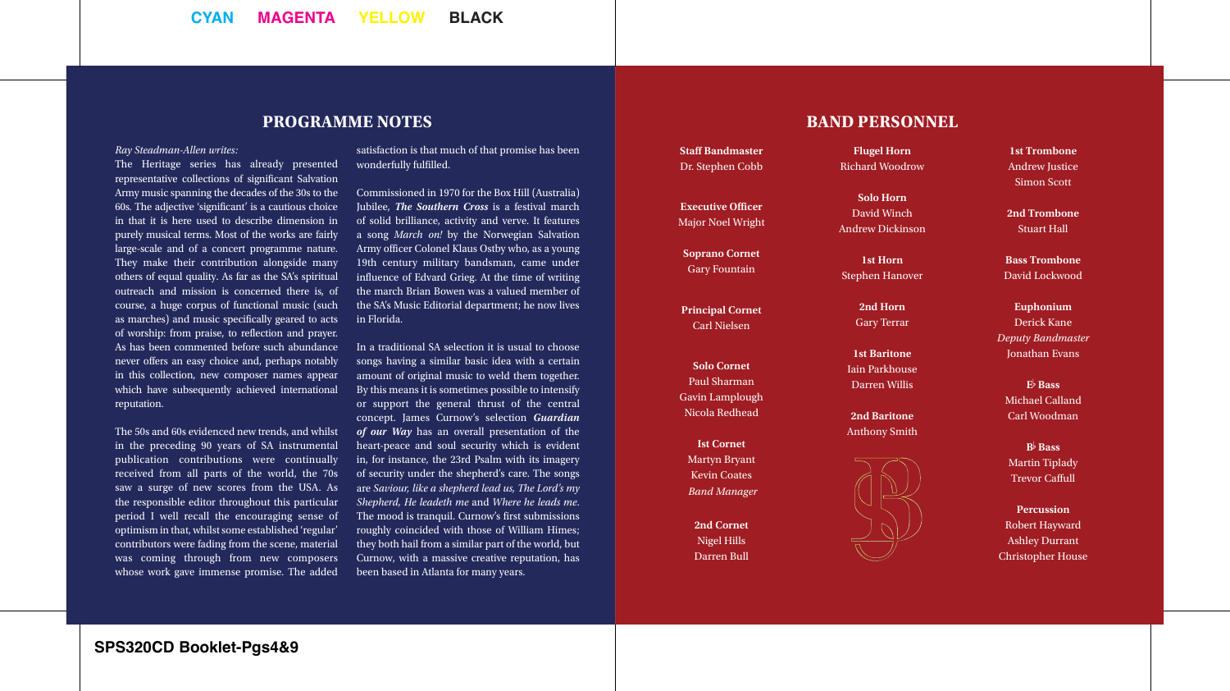#### **PROGRAMME NOTES**

#### *Ray Steadman-Allen writes:*

The Heritage series has already presented representative collections of significant Salvation Army music spanning the decades of the 30s to the 60s. The adjective 'significant' is a cautious choice in that it is here used to describe dimension in purely musical terms. Most of the works are fairly large-scale and of a concert programme nature. They make their contribution alongside many others of equal quality. As far as the SA's spiritual outreach and mission is concerned there is, of course, a huge corpus of functional music (such as marches) and music specifically geared to acts of worship: from praise, to reflection and prayer. As has been commented before such abundance never offers an easy choice and, perhaps notably in this collection, new composer names appear which have subsequently achieved international reputation.

The 50s and 60s evidenced new trends, and whilst in the preceding 90 years of SA instrumental publication contributions were continually received from all parts of the world, the 70s saw a surge of new scores from the USA. As the responsible editor throughout this particular period I well recall the encouraging sense of optimism in that, whilst some established 'regular' contributors were fading from the scene, material was coming through from new composers whose work gave immense promise. The added

satisfaction is that much of that promise has been wonderfully fulfilled.

Commissioned in 1970 for the Box Hill (Australia) Jubilee, *The Southern Cross* is a festival march of solid brilliance, activity and verve. It features a song *March on!* by the Norwegian Salvation Army officer Colonel Klaus Ostby who, as a young 19th century military bandsman, came under influence of Edvard Grieg. At the time of writing the march Brian Bowen was a valued member of the SA's Music Editorial department; he now lives in Florida.

In a traditional SA selection it is usual to choose songs having a similar basic idea with a certain amount of original music to weld them together. By this means it is sometimes possible to intensify or support the general thrust of the central concept. James Curnow's selection *Guardian of our Way* has an overall presentation of the heart-peace and soul security which is evident in, for instance, the 23rd Psalm with its imagery of security under the shepherd's care. The songs are *Saviour, like a shepherd lead us, The Lord's my Shepherd, He leadeth me* and *Where he leads me*. The mood is tranquil. Curnow's first submissions roughly coincided with those of William Himes; they both hail from a similar part of the world, but Curnow, with a massive creative reputation, has been based in Atlanta for many years.

## **Staff Bandmaster**

Dr. Stephen Cobb

**Executive Officer** Major Noel Wright

**Soprano Cornet** Gary Fountain

**Principal Cornet** Carl Nielsen

**Solo Cornet** Paul Sharman Gavin Lamplough Nicola Redhead

**Ist Cornet** Martyn Bryant Kevin Coates  *Band Manager*

> **2nd Cornet** Nigel Hills Darren Bull

#### **BAND PERSONNEL**

**Flugel Horn** Richard Woodrow

**Solo Horn** David Winch Andrew Dickinson

**1st Horn** Stephen Hanover

**2nd Horn** Gary Terrar

**1st Baritone** Iain Parkhouse Darren Willis

**2nd Baritone** Anthony Smith



**1st Trombone** Andrew Justice Simon Scott

**2nd Trombone** Stuart Hall

**Bass Trombone** David Lockwood

**Euphonium** Derick Kane *Deputy Bandmaster* Jonathan Evans

**E**-  **Bass**  Michael Calland Carl Woodman

**B**-  **Bass**  Martin Tiplady Trevor Caffull

**Percussion** Robert Hayward Ashley Durrant Christopher House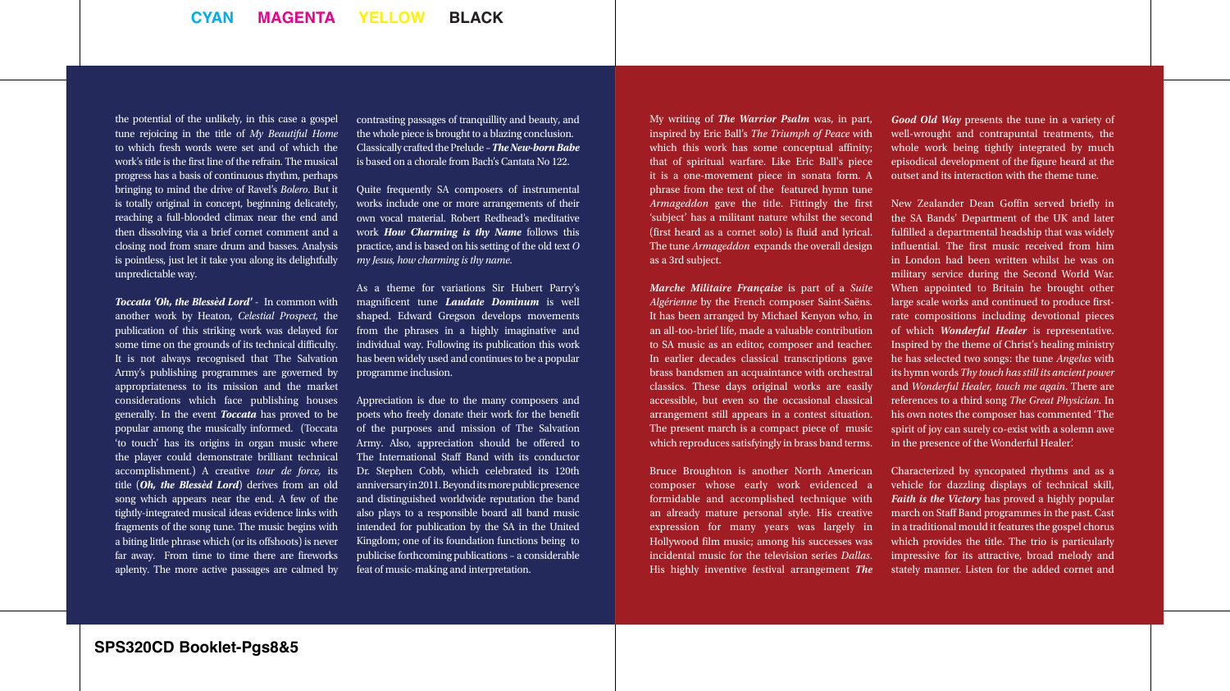the potential of the unlikely, in this case a gospel tune rejoicing in the title of *My Beautiful Home* to which fresh words were set and of which the work's title is the first line of the refrain. The musical progress has a basis of continuous rhythm, perhaps bringing to mind the drive of Ravel's *Bolero*. But it is totally original in concept, beginning delicately, reaching a full-blooded climax near the end and then dissolving via a brief cornet comment and a closing nod from snare drum and basses. Analysis is pointless, just let it take you along its delightfully unpredictable way.

*Toccata 'Oh, the Blessèd Lord' -* In common with another work by Heaton, *Celestial Prospect,* the publication of this striking work was delayed for some time on the grounds of its technical difficulty. It is not always recognised that The Salvation Army's publishing programmes are governed by appropriateness to its mission and the market considerations which face publishing houses generally. In the event *Toccata* has proved to be popular among the musically informed. (Toccata 'to touch' has its origins in organ music where the player could demonstrate brilliant technical accomplishment.) A creative *tour de force,* its title (*Oh, the Blessèd Lord*) derives from an old song which appears near the end. A few of the tightly-integrated musical ideas evidence links with fragments of the song tune. The music begins with a biting little phrase which (or its offshoots) is never far away. From time to time there are fireworks aplenty. The more active passages are calmed by

contrasting passages of tranquillity and beauty, and the whole piece is brought to a blazing conclusion. Classically crafted the Prelude – *The New-born Babe* is based on a chorale from Bach's Cantata No 122.

Quite frequently SA composers of instrumental works include one or more arrangements of their own vocal material. Robert Redhead's meditative work *How Charming is thy Name* follows this practice, and is based on his setting of the old text *O my Jesus, how charming is thy name*.

As a theme for variations Sir Hubert Parry's magnificent tune *Laudate Dominum* is well shaped. Edward Gregson develops movements from the phrases in a highly imaginative and individual way. Following its publication this work has been widely used and continues to be a popular programme inclusion.

Appreciation is due to the many composers and poets who freely donate their work for the benefit of the purposes and mission of The Salvation Army. Also, appreciation should be offered to The International Staff Band with its conductor Dr. Stephen Cobb, which celebrated its 120th anniversary in 2011. Beyond its more public presence and distinguished worldwide reputation the band also plays to a responsible board all band music intended for publication by the SA in the United Kingdom; one of its foundation functions being to publicise forthcoming publications – a considerable feat of music-making and interpretation.

My writing of *The Warrior Psalm* was, in part, inspired by Eric Ball's *The Triumph of Peace* with which this work has some conceptual affinity; that of spiritual warfare. Like Eric Ball's piece it is a one-movement piece in sonata form. A phrase from the text of the featured hymn tune *Armageddon* gave the title. Fittingly the first 'subject' has a militant nature whilst the second (first heard as a cornet solo) is fluid and lyrical. The tune *Armageddon* expands the overall design as a 3rd subject.

*Marche Militaire Française* is part of a *Suite Algérienne* by the French composer Saint-Saëns. It has been arranged by Michael Kenyon who, in an all-too-brief life, made a valuable contribution to SA music as an editor, composer and teacher. In earlier decades classical transcriptions gave brass bandsmen an acquaintance with orchestral classics. These days original works are easily accessible, but even so the occasional classical arrangement still appears in a contest situation. The present march is a compact piece of music which reproduces satisfyingly in brass band terms.

Bruce Broughton is another North American composer whose early work evidenced a formidable and accomplished technique with an already mature personal style. His creative expression for many years was largely in Hollywood film music; among his successes was incidental music for the television series *Dallas*. His highly inventive festival arrangement *The* 

*Good Old Way* presents the tune in a variety of well-wrought and contrapuntal treatments, the whole work being tightly integrated by much episodical development of the figure heard at the outset and its interaction with the theme tune.

New Zealander Dean Goffin served briefly in the SA Bands' Department of the UK and later fulfilled a departmental headship that was widely influential. The first music received from him in London had been written whilst he was on military service during the Second World War. When appointed to Britain he brought other large scale works and continued to produce firstrate compositions including devotional pieces of which *Wonderful Healer* is representative. Inspired by the theme of Christ's healing ministry he has selected two songs: the tune *Angelus* with its hymn words *Thy touch has still its ancient power*  and *Wonderful Healer, touch me again*. There are references to a third song *The Great Physician.* In his own notes the composer has commented 'The spirit of joy can surely co-exist with a solemn awe in the presence of the Wonderful Healer'.

Characterized by syncopated rhythms and as a vehicle for dazzling displays of technical skill, *Faith is the Victory* has proved a highly popular march on Staff Band programmes in the past. Cast in a traditional mould it features the gospel chorus which provides the title. The trio is particularly impressive for its attractive, broad melody and stately manner. Listen for the added cornet and